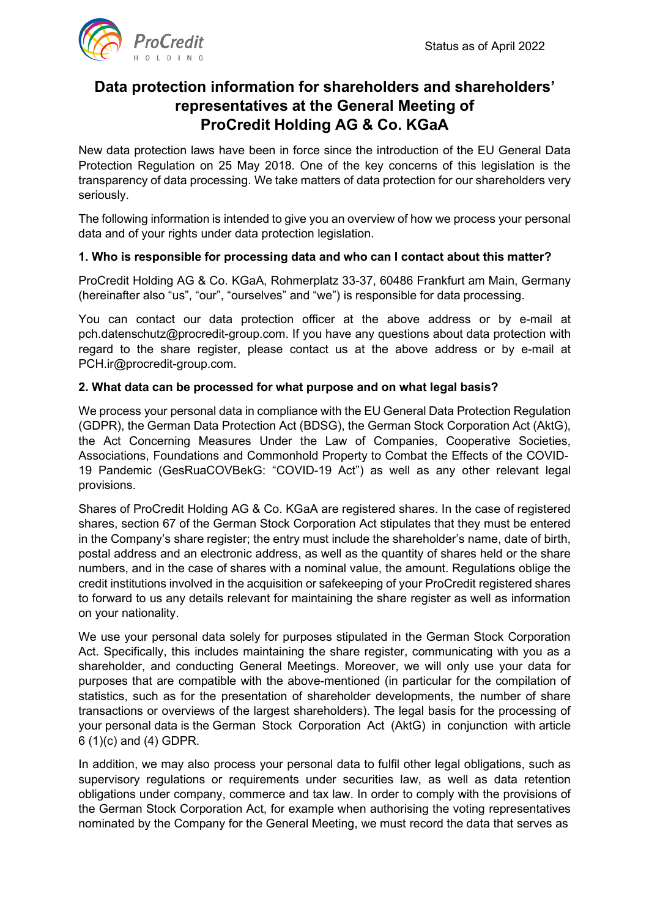

# **Data protection information for shareholders and shareholders' representatives at the General Meeting of ProCredit Holding AG & Co. KGaA**

New data protection laws have been in force since the introduction of the EU General Data Protection Regulation on 25 May 2018. One of the key concerns of this legislation is the transparency of data processing. We take matters of data protection for our shareholders very seriously.

The following information is intended to give you an overview of how we process your personal data and of your rights under data protection legislation.

# **1. Who is responsible for processing data and who can I contact about this matter?**

ProCredit Holding AG & Co. KGaA, Rohmerplatz 33-37, 60486 Frankfurt am Main, Germany (hereinafter also "us", "our", "ourselves" and "we") is responsible for data processing.

You can contact our data protection officer at the above address or by e-mail at [pch.datenschutz@procredit-group.com. I](mailto:pch.datenschutz@procredit-group.com)f you have any questions about data protection with regard to the share register, please contact us at the above address or by e-mail at [PCH.ir@procredit-group.com.](mailto:PCH.ir@procredit-group.com)

### **2. What data can be processed for what purpose and on what legal basis?**

We process your personal data in compliance with the EU General Data Protection Regulation (GDPR), the German Data Protection Act (BDSG), the German Stock Corporation Act (AktG), the Act Concerning Measures Under the Law of Companies, Cooperative Societies, Associations, Foundations and Commonhold Property to Combat the Effects of the COVID-19 Pandemic (GesRuaCOVBekG: "COVID-19 Act") as well as any other relevant legal provisions.

Shares of ProCredit Holding AG & Co. KGaA are registered shares. In the case of registered shares, section 67 of the German Stock Corporation Act stipulates that they must be entered in the Company's share register; the entry must include the shareholder's name, date of birth, postal address and an electronic address, as well as the quantity of shares held or the share numbers, and in the case of shares with a nominal value, the amount. Regulations oblige the credit institutions involved in the acquisition or safekeeping of your ProCredit registered shares to forward to us any details relevant for maintaining the share register as well as information on your nationality.

We use your personal data solely for purposes stipulated in the German Stock Corporation Act. Specifically, this includes maintaining the share register, communicating with you as a shareholder, and conducting General Meetings. Moreover, we will only use your data for purposes that are compatible with the above-mentioned (in particular for the compilation of statistics, such as for the presentation of shareholder developments, the number of share transactions or overviews of the largest shareholders). The legal basis for the processing of your personal data is the German Stock Corporation Act (AktG) in conjunction with article 6 (1)(c) and (4) GDPR.

In addition, we may also process your personal data to fulfil other legal obligations, such as supervisory regulations or requirements under securities law, as well as data retention obligations under company, commerce and tax law. In order to comply with the provisions of the German Stock Corporation Act, for example when authorising the voting representatives nominated by the Company for the General Meeting, we must record the data that serves as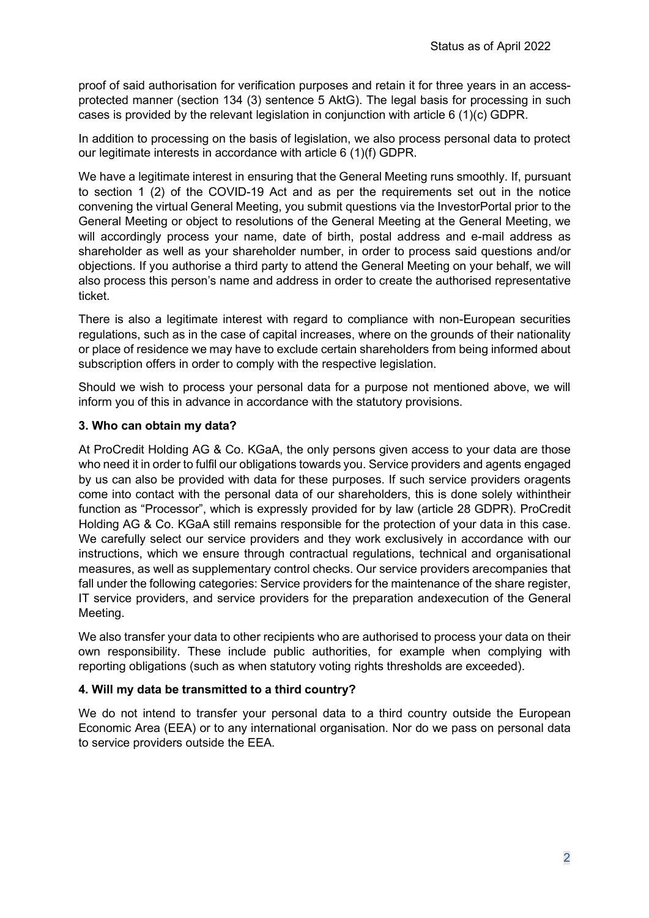proof of said authorisation for verification purposes and retain it for three years in an accessprotected manner (section 134 (3) sentence 5 AktG). The legal basis for processing in such cases is provided by the relevant legislation in conjunction with article 6 (1)(c) GDPR.

In addition to processing on the basis of legislation, we also process personal data to protect our legitimate interests in accordance with article 6 (1)(f) GDPR.

We have a legitimate interest in ensuring that the General Meeting runs smoothly. If, pursuant to section 1 (2) of the COVID-19 Act and as per the requirements set out in the notice convening the virtual General Meeting, you submit questions via the InvestorPortal prior to the General Meeting or object to resolutions of the General Meeting at the General Meeting, we will accordingly process your name, date of birth, postal address and e-mail address as shareholder as well as your shareholder number, in order to process said questions and/or objections. If you authorise a third party to attend the General Meeting on your behalf, we will also process this person's name and address in order to create the authorised representative ticket.

There is also a legitimate interest with regard to compliance with non-European securities regulations, such as in the case of capital increases, where on the grounds of their nationality or place of residence we may have to exclude certain shareholders from being informed about subscription offers in order to comply with the respective legislation.

Should we wish to process your personal data for a purpose not mentioned above, we will inform you of this in advance in accordance with the statutory provisions.

### **3. Who can obtain my data?**

At ProCredit Holding AG & Co. KGaA, the only persons given access to your data are those who need it in order to fulfil our obligations towards you. Service providers and agents engaged by us can also be provided with data for these purposes. If such service providers oragents come into contact with the personal data of our shareholders, this is done solely withintheir function as "Processor", which is expressly provided for by law (article 28 GDPR). ProCredit Holding AG & Co. KGaA still remains responsible for the protection of your data in this case. We carefully select our service providers and they work exclusively in accordance with our instructions, which we ensure through contractual regulations, technical and organisational measures, as well as supplementary control checks. Our service providers arecompanies that fall under the following categories: Service providers for the maintenance of the share register, IT service providers, and service providers for the preparation andexecution of the General Meeting.

We also transfer your data to other recipients who are authorised to process your data on their own responsibility. These include public authorities, for example when complying with reporting obligations (such as when statutory voting rights thresholds are exceeded).

#### **4. Will my data be transmitted to a third country?**

We do not intend to transfer your personal data to a third country outside the European Economic Area (EEA) or to any international organisation. Nor do we pass on personal data to service providers outside the EEA.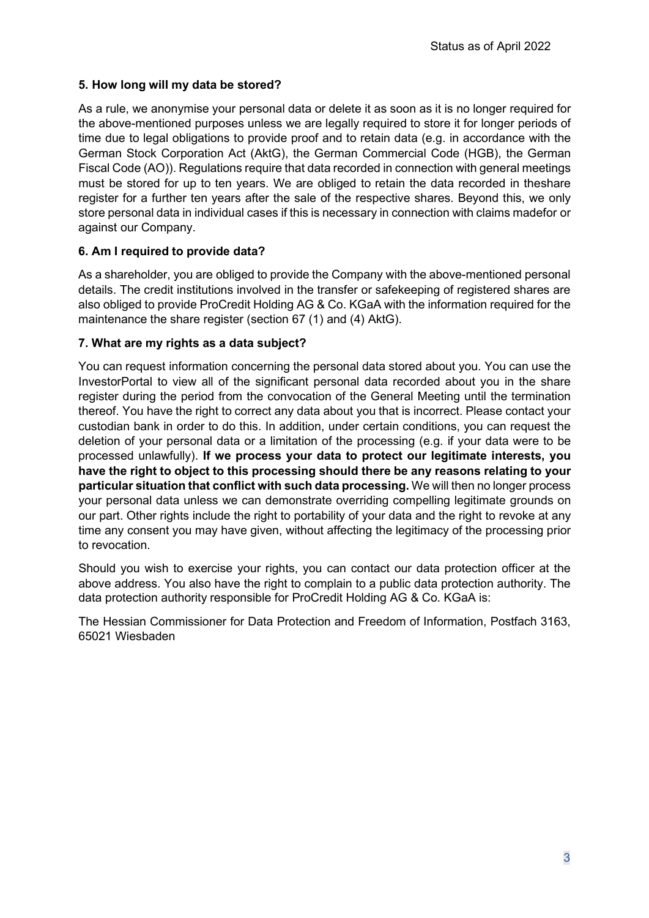# **5. How long will my data be stored?**

As a rule, we anonymise your personal data or delete it as soon as it is no longer required for the above-mentioned purposes unless we are legally required to store it for longer periods of time due to legal obligations to provide proof and to retain data (e.g. in accordance with the German Stock Corporation Act (AktG), the German Commercial Code (HGB), the German Fiscal Code (AO)). Regulations require that data recorded in connection with general meetings must be stored for up to ten years. We are obliged to retain the data recorded in theshare register for a further ten years after the sale of the respective shares. Beyond this, we only store personal data in individual cases if this is necessary in connection with claims madefor or against our Company.

# **6. Am I required to provide data?**

As a shareholder, you are obliged to provide the Company with the above-mentioned personal details. The credit institutions involved in the transfer or safekeeping of registered shares are also obliged to provide ProCredit Holding AG & Co. KGaA with the information required for the maintenance the share register (section 67 (1) and (4) AktG).

# **7. What are my rights as a data subject?**

You can request information concerning the personal data stored about you. You can use the InvestorPortal to view all of the significant personal data recorded about you in the share register during the period from the convocation of the General Meeting until the termination thereof. You have the right to correct any data about you that is incorrect. Please contact your custodian bank in order to do this. In addition, under certain conditions, you can request the deletion of your personal data or a limitation of the processing (e.g. if your data were to be processed unlawfully). **If we process your data to protect our legitimate interests, you have the right to object to this processing should there be any reasons relating to your particular situation that conflict with such data processing.** We will then no longer process your personal data unless we can demonstrate overriding compelling legitimate grounds on our part. Other rights include the right to portability of your data and the right to revoke at any time any consent you may have given, without affecting the legitimacy of the processing prior to revocation.

Should you wish to exercise your rights, you can contact our data protection officer at the above address. You also have the right to complain to a public data protection authority. The data protection authority responsible for ProCredit Holding AG & Co. KGaA is:

The Hessian Commissioner for Data Protection and Freedom of Information, Postfach 3163, 65021 Wiesbaden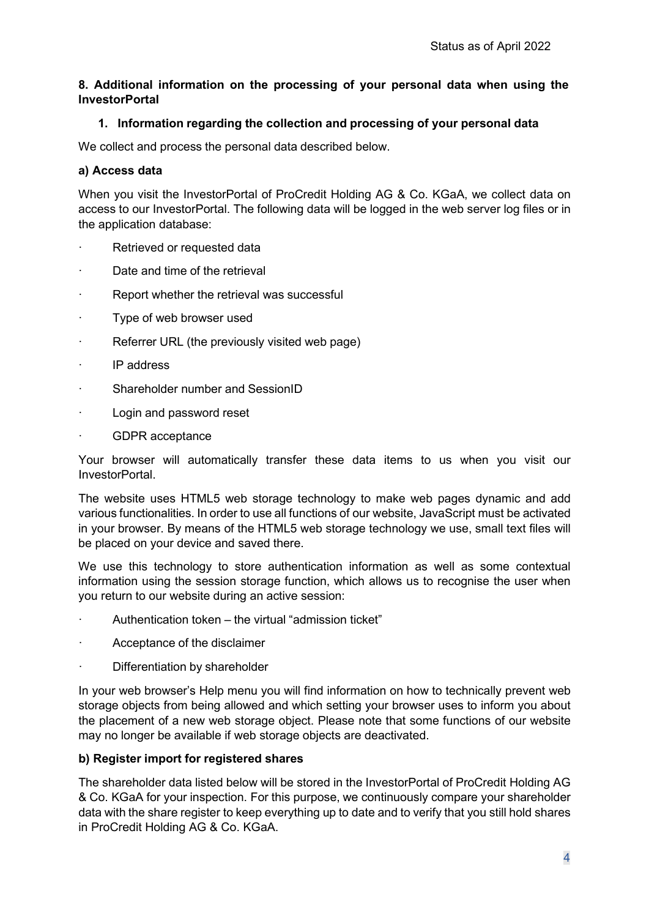# **8. Additional information on the processing of your personal data when using the InvestorPortal**

# **1. Information regarding the collection and processing of your personal data**

We collect and process the personal data described below.

### **a) Access data**

When you visit the InvestorPortal of ProCredit Holding AG & Co. KGaA, we collect data on access to our InvestorPortal. The following data will be logged in the web server log files or in the application database:

- · Retrieved or requested data
- Date and time of the retrieval
- Report whether the retrieval was successful
- Type of web browser used
- Referrer URL (the previously visited web page)
- IP address
- Shareholder number and SessionID
- · Login and password reset
- GDPR acceptance

Your browser will automatically transfer these data items to us when you visit our InvestorPortal.

The website uses HTML5 web storage technology to make web pages dynamic and add various functionalities. In order to use all functions of our website, JavaScript must be activated in your browser. By means of the HTML5 web storage technology we use, small text files will be placed on your device and saved there.

We use this technology to store authentication information as well as some contextual information using the session storage function, which allows us to recognise the user when you return to our website during an active session:

- · Authentication token the virtual "admission ticket"
- Acceptance of the disclaimer
- Differentiation by shareholder

In your web browser's Help menu you will find information on how to technically prevent web storage objects from being allowed and which setting your browser uses to inform you about the placement of a new web storage object. Please note that some functions of our website may no longer be available if web storage objects are deactivated.

#### **b) Register import for registered shares**

The shareholder data listed below will be stored in the InvestorPortal of ProCredit Holding AG & Co. KGaA for your inspection. For this purpose, we continuously compare your shareholder data with the share register to keep everything up to date and to verify that you still hold shares in ProCredit Holding AG & Co. KGaA.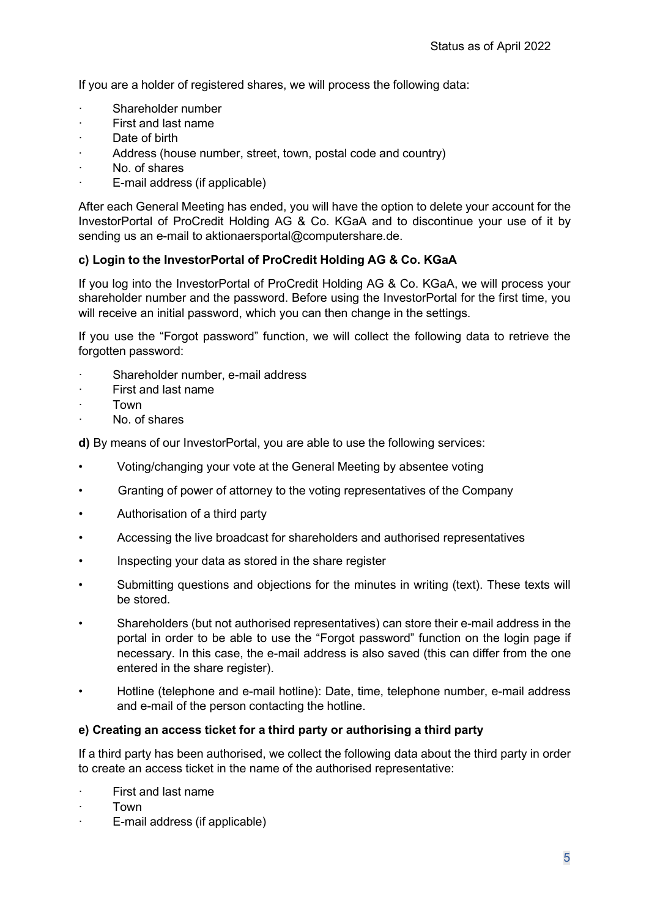If you are a holder of registered shares, we will process the following data:

- Shareholder number
- First and last name
- Date of birth
- Address (house number, street, town, postal code and country)
- No. of shares
- E-mail address (if applicable)

After each General Meeting has ended, you will have the option to delete your account for the InvestorPortal of ProCredit Holding AG & Co. KGaA and to discontinue your use of it by sending us an e-mail to [aktionaersportal@computershare.de.](mailto:aktionaersportal@computershare.de)

### **c) Login to the InvestorPortal of ProCredit Holding AG & Co. KGaA**

If you log into the InvestorPortal of ProCredit Holding AG & Co. KGaA, we will process your shareholder number and the password. Before using the InvestorPortal for the first time, you will receive an initial password, which you can then change in the settings.

If you use the "Forgot password" function, we will collect the following data to retrieve the forgotten password:

- Shareholder number, e-mail address
- First and last name
- · Town
- No. of shares

**d)** By means of our InvestorPortal, you are able to use the following services:

- Voting/changing your vote at the General Meeting by absentee voting
- Granting of power of attorney to the voting representatives of the Company
- Authorisation of a third party
- Accessing the live broadcast for shareholders and authorised representatives
- Inspecting your data as stored in the share register
- Submitting questions and objections for the minutes in writing (text). These texts will be stored.
- Shareholders (but not authorised representatives) can store their e-mail address in the portal in order to be able to use the "Forgot password" function on the login page if necessary. In this case, the e-mail address is also saved (this can differ from the one entered in the share register).
- Hotline (telephone and e-mail hotline): Date, time, telephone number, e-mail address and e-mail of the person contacting the hotline.

#### **e) Creating an access ticket for a third party or authorising a third party**

If a third party has been authorised, we collect the following data about the third party in order to create an access ticket in the name of the authorised representative:

- First and last name
- · Town
- E-mail address (if applicable)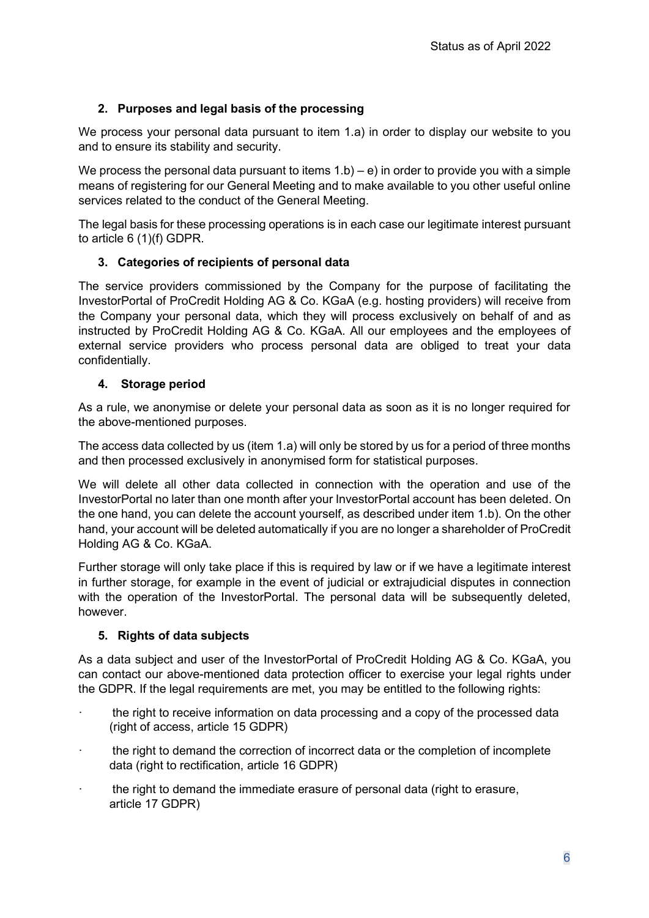# **2. Purposes and legal basis of the processing**

We process your personal data pursuant to item 1.a) in order to display our website to you and to ensure its stability and security.

We process the personal data pursuant to items  $1.b$  – e) in order to provide you with a simple means of registering for our General Meeting and to make available to you other useful online services related to the conduct of the General Meeting.

The legal basis for these processing operations is in each case our legitimate interest pursuant to article 6 (1)(f) GDPR.

# **3. Categories of recipients of personal data**

The service providers commissioned by the Company for the purpose of facilitating the InvestorPortal of ProCredit Holding AG & Co. KGaA (e.g. hosting providers) will receive from the Company your personal data, which they will process exclusively on behalf of and as instructed by ProCredit Holding AG & Co. KGaA. All our employees and the employees of external service providers who process personal data are obliged to treat your data confidentially.

# **4. Storage period**

As a rule, we anonymise or delete your personal data as soon as it is no longer required for the above-mentioned purposes.

The access data collected by us (item 1.a) will only be stored by us for a period of three months and then processed exclusively in anonymised form for statistical purposes.

We will delete all other data collected in connection with the operation and use of the InvestorPortal no later than one month after your InvestorPortal account has been deleted. On the one hand, you can delete the account yourself, as described under item 1.b). On the other hand, your account will be deleted automatically if you are no longer a shareholder of ProCredit Holding AG & Co. KGaA.

Further storage will only take place if this is required by law or if we have a legitimate interest in further storage, for example in the event of judicial or extrajudicial disputes in connection with the operation of the InvestorPortal. The personal data will be subsequently deleted, however.

# **5. Rights of data subjects**

As a data subject and user of the InvestorPortal of ProCredit Holding AG & Co. KGaA, you can contact our above-mentioned data protection officer to exercise your legal rights under the GDPR. If the legal requirements are met, you may be entitled to the following rights:

- the right to receive information on data processing and a copy of the processed data (right of access, article 15 GDPR)
- the right to demand the correction of incorrect data or the completion of incomplete data (right to rectification, article 16 GDPR)
- · the right to demand the immediate erasure of personal data (right to erasure, article 17 GDPR)